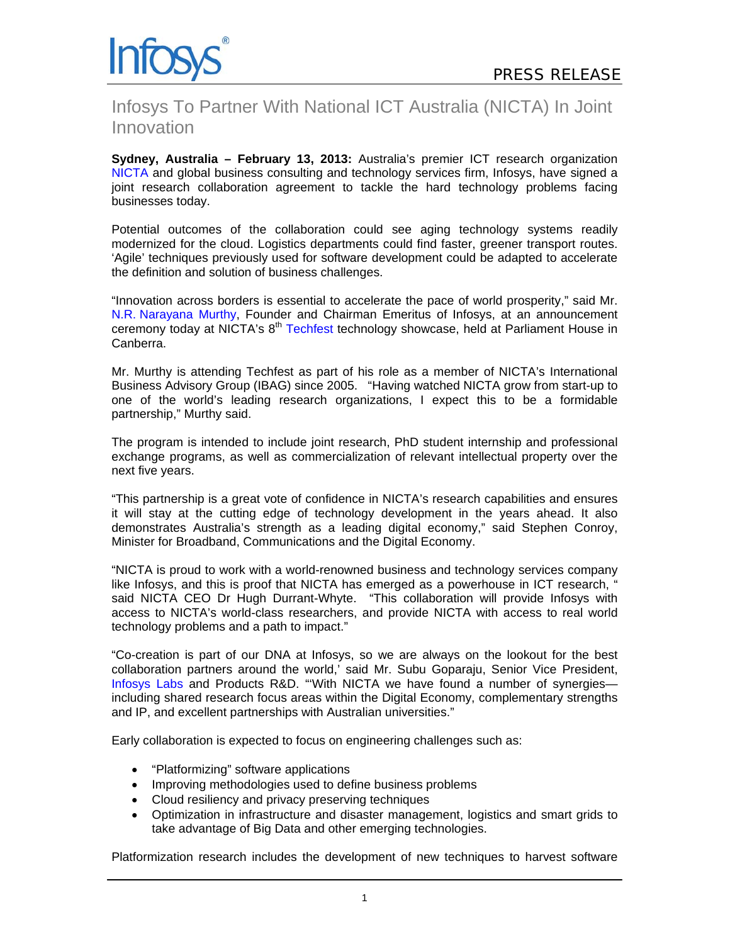

# Infosys To Partner With National ICT Australia (NICTA) In Joint Innovation

**Sydney, Australia – February 13, 2013:** Australia's premier ICT research organization [NICTA](http://www.nicta.com.au/) and global business consulting and technology services firm, Infosys, have signed a joint research collaboration agreement to tackle the hard technology problems facing businesses today.

Potential outcomes of the collaboration could see aging technology systems readily modernized for the cloud. Logistics departments could find faster, greener transport routes. 'Agile' techniques previously used for software development could be adapted to accelerate the definition and solution of business challenges.

"Innovation across borders is essential to accelerate the pace of world prosperity," said Mr. [N.R. Narayana Murthy,](http://www.infosys.com/about/management-profiles/Pages/narayana-murthy.aspx) Founder and Chairman Emeritus of Infosys, at an announcement ceremony today at NICTA's 8<sup>th</sup> [Techfest](http://www.nicta.com.au/events/techfest2013) technology showcase, held at Parliament House in Canberra.

Mr. Murthy is attending Techfest as part of his role as a member of NICTA's International Business Advisory Group (IBAG) since 2005. "Having watched NICTA grow from start-up to one of the world's leading research organizations, I expect this to be a formidable partnership," Murthy said.

The program is intended to include joint research, PhD student internship and professional exchange programs, as well as commercialization of relevant intellectual property over the next five years.

"This partnership is a great vote of confidence in NICTA's research capabilities and ensures it will stay at the cutting edge of technology development in the years ahead. It also demonstrates Australia's strength as a leading digital economy," said Stephen Conroy, Minister for Broadband, Communications and the Digital Economy.

"NICTA is proud to work with a world-renowned business and technology services company like Infosys, and this is proof that NICTA has emerged as a powerhouse in ICT research, " said NICTA CEO Dr Hugh Durrant-Whyte. "This collaboration will provide Infosys with access to NICTA's world-class researchers, and provide NICTA with access to real world technology problems and a path to impact."

"Co-creation is part of our DNA at Infosys, so we are always on the lookout for the best collaboration partners around the world,' said Mr. Subu Goparaju, Senior Vice President, [Infosys Labs](http://www.infosys.com/infosys-labs/Pages/index.aspx) and Products R&D. "'With NICTA we have found a number of synergies including shared research focus areas within the Digital Economy, complementary strengths and IP, and excellent partnerships with Australian universities."

Early collaboration is expected to focus on engineering challenges such as:

- "Platformizing" software applications
- Improving methodologies used to define business problems
- Cloud resiliency and privacy preserving techniques
- Optimization in infrastructure and disaster management, logistics and smart grids to take advantage of Big Data and other emerging technologies.

Platformization research includes the development of new techniques to harvest software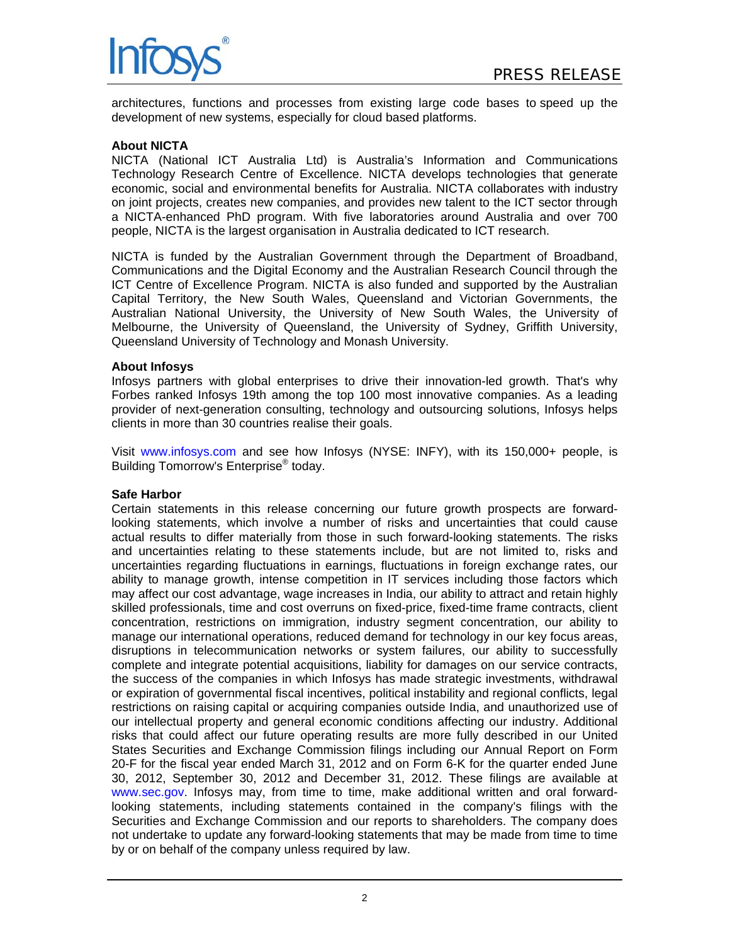

architectures, functions and processes from existing large code bases to speed up the development of new systems, especially for cloud based platforms.

#### **About NICTA**

NICTA (National ICT Australia Ltd) is Australia's Information and Communications Technology Research Centre of Excellence. NICTA develops technologies that generate economic, social and environmental benefits for Australia. NICTA collaborates with industry on joint projects, creates new companies, and provides new talent to the ICT sector through a NICTA-enhanced PhD program. With five laboratories around Australia and over 700 people, NICTA is the largest organisation in Australia dedicated to ICT research.

NICTA is funded by the Australian Government through the Department of Broadband, Communications and the Digital Economy and the Australian Research Council through the ICT Centre of Excellence Program. NICTA is also funded and supported by the Australian Capital Territory, the New South Wales, Queensland and Victorian Governments, the Australian National University, the University of New South Wales, the University of Melbourne, the University of Queensland, the University of Sydney, Griffith University, Queensland University of Technology and Monash University.

### **About Infosys**

Infosys partners with global enterprises to drive their innovation-led growth. That's why Forbes ranked Infosys 19th among the top 100 most innovative companies. As a leading provider of next-generation consulting, technology and outsourcing solutions, Infosys helps clients in more than 30 countries realise their goals.

Visit www.infosys.com and see how Infosys (NYSE: INFY), with its 150,000+ people, is Building Tomorrow's Enterprise® today.

#### **Safe Harbor**

Certain statements in this release concerning our future growth prospects are forwardlooking statements, which involve a number of risks and uncertainties that could cause actual results to differ materially from those in such forward-looking statements. The risks and uncertainties relating to these statements include, but are not limited to, risks and uncertainties regarding fluctuations in earnings, fluctuations in foreign exchange rates, our ability to manage growth, intense competition in IT services including those factors which may affect our cost advantage, wage increases in India, our ability to attract and retain highly skilled professionals, time and cost overruns on fixed-price, fixed-time frame contracts, client concentration, restrictions on immigration, industry segment concentration, our ability to manage our international operations, reduced demand for technology in our key focus areas, disruptions in telecommunication networks or system failures, our ability to successfully complete and integrate potential acquisitions, liability for damages on our service contracts, the success of the companies in which Infosys has made strategic investments, withdrawal or expiration of governmental fiscal incentives, political instability and regional conflicts, legal restrictions on raising capital or acquiring companies outside India, and unauthorized use of our intellectual property and general economic conditions affecting our industry. Additional risks that could affect our future operating results are more fully described in our United States Securities and Exchange Commission filings including our Annual Report on Form 20-F for the fiscal year ended March 31, 2012 and on Form 6-K for the quarter ended June 30, 2012, September 30, 2012 and December 31, 2012. These filings are available at www.sec.gov. Infosys may, from time to time, make additional written and oral forwardlooking statements, including statements contained in the company's filings with the Securities and Exchange Commission and our reports to shareholders. The company does not undertake to update any forward-looking statements that may be made from time to time by or on behalf of the company unless required by law.